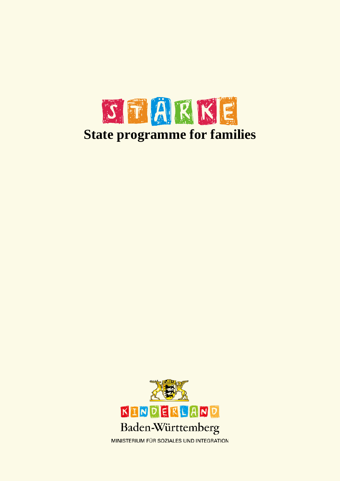

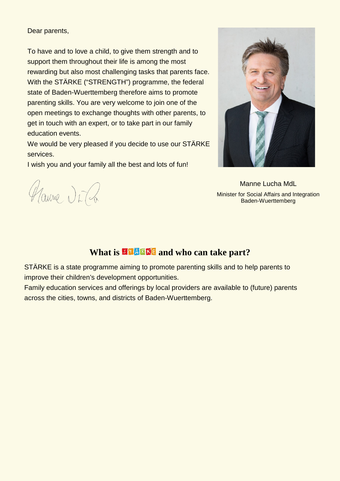Dear parents,

To have and to love a child, to give them strength and to support them throughout their life is among the most rewarding but also most challenging tasks that parents face. With the STÄRKE ("STRENGTH") programme, the federal state of Baden-Wuerttemberg therefore aims to promote parenting skills. You are very welcome to join one of the open meetings to exchange thoughts with other parents, to get in touch with an expert, or to take part in our family education events.

We would be very pleased if you decide to use our STÄRKE services.

I wish you and your family all the best and lots of fun!



Manne Lucha MdL Minister for Social Affairs and Integration Baden-Wuerttemberg

Haune Dr. Ca

# **What is <b>NHARKE** and who can take part?

STÄRKE is a state programme aiming to promote parenting skills and to help parents to improve their children's development opportunities.

Family education services and offerings by local providers are available to (future) parents across the cities, towns, and districts of Baden-Wuerttemberg.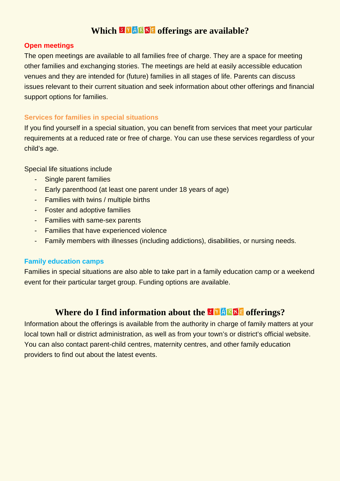## **Which <b>MENKE** offerings are available?

#### **Open meetings**

The open meetings are available to all families free of charge. They are a space for meeting other families and exchanging stories. The meetings are held at easily accessible education venues and they are intended for (future) families in all stages of life. Parents can discuss issues relevant to their current situation and seek information about other offerings and financial support options for families.

### **Services for families in special situations**

If you find yourself in a special situation, you can benefit from services that meet your particular requirements at a reduced rate or free of charge. You can use these services regardless of your child's age.

Special life situations include

- Single parent families
- Early parenthood (at least one parent under 18 years of age)
- Families with twins / multiple births
- Foster and adoptive families
- Families with same-sex parents
- Families that have experienced violence
- Family members with illnesses (including addictions), disabilities, or nursing needs.

### **Family education camps**

Families in special situations are also able to take part in a family education camp or a weekend event for their particular target group. Funding options are available.

# **Where do I find information about the <b>MERKE** offerings?

Information about the offerings is available from the authority in charge of family matters at your local town hall or district administration, as well as from your town's or district's official website. You can also contact parent-child centres, maternity centres, and other family education providers to find out about the latest events.